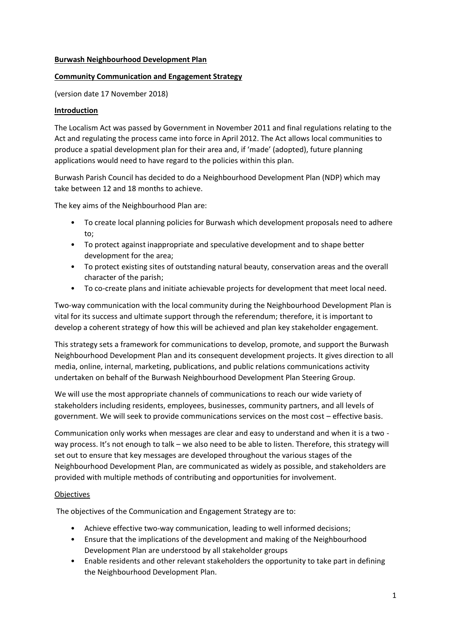### **Burwash Neighbourhood Development Plan**

# **Community Communication and Engagement Strategy**

(version date 17 November 2018)

# **Introduction**

The Localism Act was passed by Government in November 2011 and final regulations relating to the Act and regulating the process came into force in April 2012. The Act allows local communities to produce a spatial development plan for their area and, if 'made' (adopted), future planning applications would need to have regard to the policies within this plan.

Burwash Parish Council has decided to do a Neighbourhood Development Plan (NDP) which may take between 12 and 18 months to achieve.

The key aims of the Neighbourhood Plan are:

- To create local planning policies for Burwash which development proposals need to adhere to;
- To protect against inappropriate and speculative development and to shape better development for the area;
- To protect existing sites of outstanding natural beauty, conservation areas and the overall character of the parish;
- To co-create plans and initiate achievable projects for development that meet local need.

Two-way communication with the local community during the Neighbourhood Development Plan is vital for its success and ultimate support through the referendum; therefore, it is important to develop a coherent strategy of how this will be achieved and plan key stakeholder engagement.

This strategy sets a framework for communications to develop, promote, and support the Burwash Neighbourhood Development Plan and its consequent development projects. It gives direction to all media, online, internal, marketing, publications, and public relations communications activity undertaken on behalf of the Burwash Neighbourhood Development Plan Steering Group.

We will use the most appropriate channels of communications to reach our wide variety of stakeholders including residents, employees, businesses, community partners, and all levels of government. We will seek to provide communications services on the most cost – effective basis.

Communication only works when messages are clear and easy to understand and when it is a two way process. It's not enough to talk – we also need to be able to listen. Therefore, this strategy will set out to ensure that key messages are developed throughout the various stages of the Neighbourhood Development Plan, are communicated as widely as possible, and stakeholders are provided with multiple methods of contributing and opportunities for involvement.

#### **Objectives**

The objectives of the Communication and Engagement Strategy are to:

- Achieve effective two-way communication, leading to well informed decisions;
- Ensure that the implications of the development and making of the Neighbourhood Development Plan are understood by all stakeholder groups
- Enable residents and other relevant stakeholders the opportunity to take part in defining the Neighbourhood Development Plan.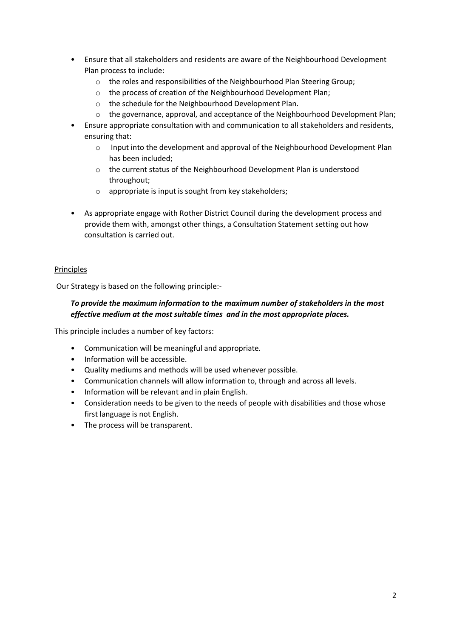- Ensure that all stakeholders and residents are aware of the Neighbourhood Development Plan process to include:
	- o the roles and responsibilities of the Neighbourhood Plan Steering Group;
	- o the process of creation of the Neighbourhood Development Plan;
	- o the schedule for the Neighbourhood Development Plan.
	- $\circ$  the governance, approval, and acceptance of the Neighbourhood Development Plan;
- Ensure appropriate consultation with and communication to all stakeholders and residents, ensuring that:
	- o Input into the development and approval of the Neighbourhood Development Plan has been included;
	- o the current status of the Neighbourhood Development Plan is understood throughout;
	- o appropriate is input is sought from key stakeholders;
- As appropriate engage with Rother District Council during the development process and provide them with, amongst other things, a Consultation Statement setting out how consultation is carried out.

# Principles

Our Strategy is based on the following principle:-

# *To provide the maximum information to the maximum number of stakeholders in the most effective medium at the most suitable times and in the most appropriate places.*

This principle includes a number of key factors:

- Communication will be meaningful and appropriate.
- Information will be accessible.
- Quality mediums and methods will be used whenever possible.
- Communication channels will allow information to, through and across all levels.
- Information will be relevant and in plain English.
- Consideration needs to be given to the needs of people with disabilities and those whose first language is not English.
- The process will be transparent.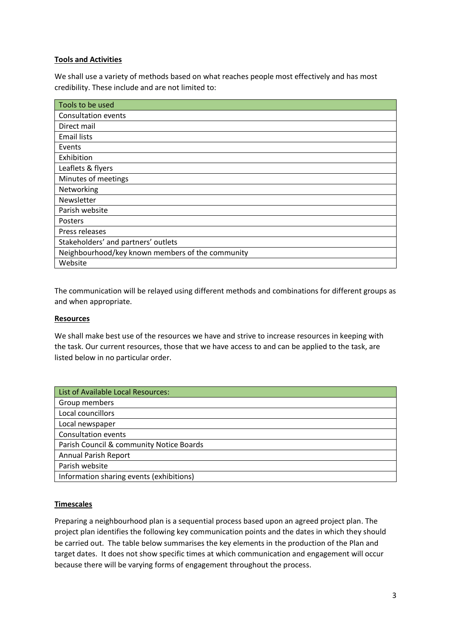# **Tools and Activities**

We shall use a variety of methods based on what reaches people most effectively and has most credibility. These include and are not limited to:

| Tools to be used                                 |
|--------------------------------------------------|
| <b>Consultation events</b>                       |
| Direct mail                                      |
| <b>Email lists</b>                               |
| Events                                           |
| Exhibition                                       |
| Leaflets & flyers                                |
| Minutes of meetings                              |
| Networking                                       |
| Newsletter                                       |
| Parish website                                   |
| Posters                                          |
| Press releases                                   |
| Stakeholders' and partners' outlets              |
| Neighbourhood/key known members of the community |
| Website                                          |

The communication will be relayed using different methods and combinations for different groups as and when appropriate.

#### **Resources**

We shall make best use of the resources we have and strive to increase resources in keeping with the task. Our current resources, those that we have access to and can be applied to the task, are listed below in no particular order.

| List of Available Local Resources:       |
|------------------------------------------|
| Group members                            |
| Local councillors                        |
| Local newspaper                          |
| <b>Consultation events</b>               |
| Parish Council & community Notice Boards |
| <b>Annual Parish Report</b>              |
| Parish website                           |
| Information sharing events (exhibitions) |

#### **Timescales**

Preparing a neighbourhood plan is a sequential process based upon an agreed project plan. The project plan identifies the following key communication points and the dates in which they should be carried out. The table below summarises the key elements in the production of the Plan and target dates. It does not show specific times at which communication and engagement will occur because there will be varying forms of engagement throughout the process.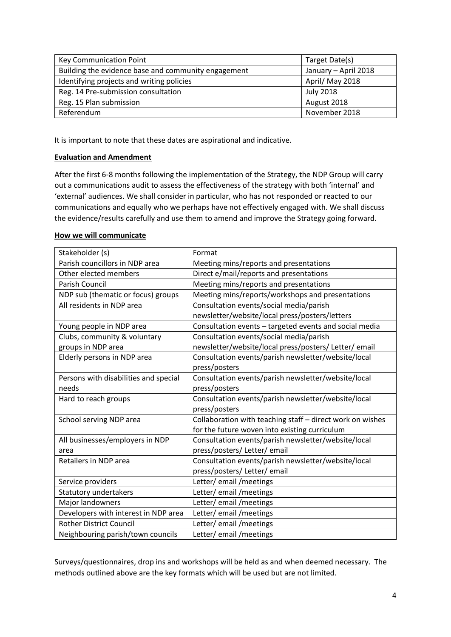| Key Communication Point                             | Target Date(s)       |
|-----------------------------------------------------|----------------------|
| Building the evidence base and community engagement | January - April 2018 |
| Identifying projects and writing policies           | April/May 2018       |
| Reg. 14 Pre-submission consultation                 | <b>July 2018</b>     |
| Reg. 15 Plan submission                             | August 2018          |
| Referendum                                          | November 2018        |

It is important to note that these dates are aspirational and indicative.

### **Evaluation and Amendment**

After the first 6-8 months following the implementation of the Strategy, the NDP Group will carry out a communications audit to assess the effectiveness of the strategy with both 'internal' and 'external' audiences. We shall consider in particular, who has not responded or reacted to our communications and equally who we perhaps have not effectively engaged with. We shall discuss the evidence/results carefully and use them to amend and improve the Strategy going forward.

#### **How we will communicate**

| Stakeholder (s)                       | Format                                                    |
|---------------------------------------|-----------------------------------------------------------|
| Parish councillors in NDP area        | Meeting mins/reports and presentations                    |
| Other elected members                 | Direct e/mail/reports and presentations                   |
| <b>Parish Council</b>                 | Meeting mins/reports and presentations                    |
| NDP sub (thematic or focus) groups    | Meeting mins/reports/workshops and presentations          |
| All residents in NDP area             | Consultation events/social media/parish                   |
|                                       | newsletter/website/local press/posters/letters            |
| Young people in NDP area              | Consultation events - targeted events and social media    |
| Clubs, community & voluntary          | Consultation events/social media/parish                   |
| groups in NDP area                    | newsletter/website/local press/posters/ Letter/ email     |
| Elderly persons in NDP area           | Consultation events/parish newsletter/website/local       |
|                                       | press/posters                                             |
| Persons with disabilities and special | Consultation events/parish newsletter/website/local       |
| needs                                 | press/posters                                             |
| Hard to reach groups                  | Consultation events/parish newsletter/website/local       |
|                                       | press/posters                                             |
| School serving NDP area               | Collaboration with teaching staff - direct work on wishes |
|                                       | for the future woven into existing curriculum             |
| All businesses/employers in NDP       | Consultation events/parish newsletter/website/local       |
| area                                  | press/posters/ Letter/ email                              |
| Retailers in NDP area                 | Consultation events/parish newsletter/website/local       |
|                                       | press/posters/ Letter/ email                              |
| Service providers                     | Letter/ email / meetings                                  |
| Statutory undertakers                 | Letter/ email / meetings                                  |
| Major landowners                      | Letter/email/meetings                                     |
| Developers with interest in NDP area  | Letter/ email / meetings                                  |
| <b>Rother District Council</b>        | Letter/email/meetings                                     |
| Neighbouring parish/town councils     | Letter/email/meetings                                     |

Surveys/questionnaires, drop ins and workshops will be held as and when deemed necessary. The methods outlined above are the key formats which will be used but are not limited.